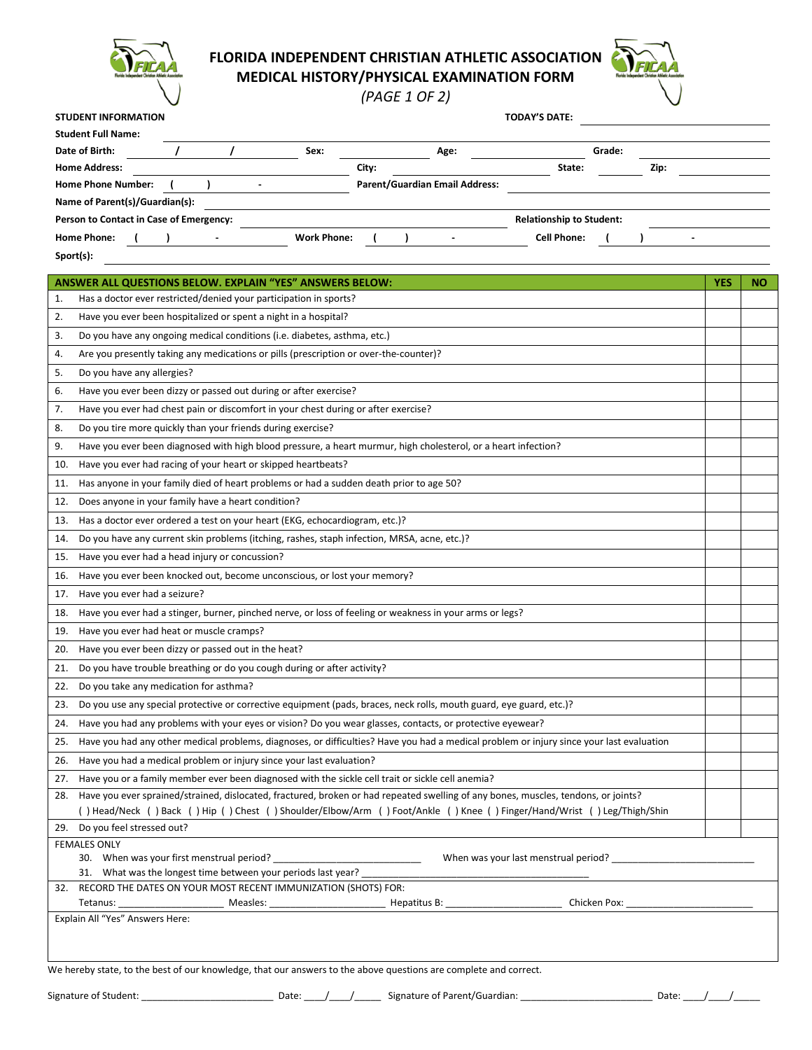

## **FLORIDA INDEPENDENT CHRISTIAN ATHLETIC ASSOCIATION**

**MEDICAL HISTORY/PHYSICAL EXAMINATION FORM**

*(PAGE 1 OF 2)*

| <b>STUDENT INFORMATION</b>              |                |                    |                                       |  |                                 | <b>TODAY'S DATE:</b> |        |      |  |  |
|-----------------------------------------|----------------|--------------------|---------------------------------------|--|---------------------------------|----------------------|--------|------|--|--|
| <b>Student Full Name:</b>               |                |                    |                                       |  |                                 |                      |        |      |  |  |
| Date of Birth:                          |                | Sex:               |                                       |  | Age:                            |                      | Grade: |      |  |  |
| <b>Home Address:</b>                    |                |                    | City:                                 |  |                                 | State:               |        | Zip: |  |  |
| <b>Home Phone Number:</b>               | $\blacksquare$ |                    | <b>Parent/Guardian Email Address:</b> |  |                                 |                      |        |      |  |  |
| Name of Parent(s)/Guardian(s):          |                |                    |                                       |  |                                 |                      |        |      |  |  |
| Person to Contact in Case of Emergency: |                |                    |                                       |  | <b>Relationship to Student:</b> |                      |        |      |  |  |
| <b>Home Phone:</b>                      |                | <b>Work Phone:</b> |                                       |  |                                 | <b>Cell Phone:</b>   |        |      |  |  |
| Sport(s):                               |                |                    |                                       |  |                                 |                      |        |      |  |  |

|     | <b>ANSWER ALL QUESTIONS BELOW. EXPLAIN "YES" ANSWERS BELOW:</b>                                                                          | YES | NΟ |  |  |  |  |  |
|-----|------------------------------------------------------------------------------------------------------------------------------------------|-----|----|--|--|--|--|--|
| 1.  | Has a doctor ever restricted/denied your participation in sports?                                                                        |     |    |  |  |  |  |  |
| 2.  | Have you ever been hospitalized or spent a night in a hospital?                                                                          |     |    |  |  |  |  |  |
| 3.  | Do you have any ongoing medical conditions (i.e. diabetes, asthma, etc.)                                                                 |     |    |  |  |  |  |  |
| 4.  | Are you presently taking any medications or pills (prescription or over-the-counter)?                                                    |     |    |  |  |  |  |  |
| 5.  | Do you have any allergies?                                                                                                               |     |    |  |  |  |  |  |
| 6.  | Have you ever been dizzy or passed out during or after exercise?                                                                         |     |    |  |  |  |  |  |
| 7.  | Have you ever had chest pain or discomfort in your chest during or after exercise?                                                       |     |    |  |  |  |  |  |
| 8.  | Do you tire more quickly than your friends during exercise?                                                                              |     |    |  |  |  |  |  |
| 9.  | Have you ever been diagnosed with high blood pressure, a heart murmur, high cholesterol, or a heart infection?                           |     |    |  |  |  |  |  |
| 10. | Have you ever had racing of your heart or skipped heartbeats?                                                                            |     |    |  |  |  |  |  |
| 11. | Has anyone in your family died of heart problems or had a sudden death prior to age 50?                                                  |     |    |  |  |  |  |  |
| 12. | Does anyone in your family have a heart condition?                                                                                       |     |    |  |  |  |  |  |
| 13. | Has a doctor ever ordered a test on your heart (EKG, echocardiogram, etc.)?                                                              |     |    |  |  |  |  |  |
| 14. | Do you have any current skin problems (itching, rashes, staph infection, MRSA, acne, etc.)?                                              |     |    |  |  |  |  |  |
| 15. | Have you ever had a head injury or concussion?                                                                                           |     |    |  |  |  |  |  |
| 16. | Have you ever been knocked out, become unconscious, or lost your memory?                                                                 |     |    |  |  |  |  |  |
| 17. | Have you ever had a seizure?                                                                                                             |     |    |  |  |  |  |  |
| 18. | Have you ever had a stinger, burner, pinched nerve, or loss of feeling or weakness in your arms or legs?                                 |     |    |  |  |  |  |  |
| 19. | Have you ever had heat or muscle cramps?                                                                                                 |     |    |  |  |  |  |  |
| 20. | Have you ever been dizzy or passed out in the heat?                                                                                      |     |    |  |  |  |  |  |
| 21. | Do you have trouble breathing or do you cough during or after activity?                                                                  |     |    |  |  |  |  |  |
| 22. | Do you take any medication for asthma?                                                                                                   |     |    |  |  |  |  |  |
| 23. | Do you use any special protective or corrective equipment (pads, braces, neck rolls, mouth guard, eye guard, etc.)?                      |     |    |  |  |  |  |  |
| 24. | Have you had any problems with your eyes or vision? Do you wear glasses, contacts, or protective eyewear?                                |     |    |  |  |  |  |  |
| 25. | Have you had any other medical problems, diagnoses, or difficulties? Have you had a medical problem or injury since your last evaluation |     |    |  |  |  |  |  |
| 26. | Have you had a medical problem or injury since your last evaluation?                                                                     |     |    |  |  |  |  |  |
| 27. | Have you or a family member ever been diagnosed with the sickle cell trait or sickle cell anemia?                                        |     |    |  |  |  |  |  |
| 28. | Have you ever sprained/strained, dislocated, fractured, broken or had repeated swelling of any bones, muscles, tendons, or joints?       |     |    |  |  |  |  |  |
|     | () Head/Neck () Back () Hip () Chest () Shoulder/Elbow/Arm () Foot/Ankle () Knee () Finger/Hand/Wrist () Leg/Thigh/Shin                  |     |    |  |  |  |  |  |
|     | 29. Do you feel stressed out?                                                                                                            |     |    |  |  |  |  |  |
|     | <b>FEMALES ONLY</b><br>When was your last menstrual period?<br>30. When was your first menstrual period?                                 |     |    |  |  |  |  |  |
|     | 31. What was the longest time between your periods last year?                                                                            |     |    |  |  |  |  |  |
|     | 32. RECORD THE DATES ON YOUR MOST RECENT IMMUNIZATION (SHOTS) FOR:                                                                       |     |    |  |  |  |  |  |
|     | Tetanus:                                                                                                                                 |     |    |  |  |  |  |  |
|     | Explain All "Yes" Answers Here:                                                                                                          |     |    |  |  |  |  |  |
|     |                                                                                                                                          |     |    |  |  |  |  |  |
|     |                                                                                                                                          |     |    |  |  |  |  |  |
|     | We hereby state, to the best of our knowledge, that our answers to the above questions are complete and correct.                         |     |    |  |  |  |  |  |